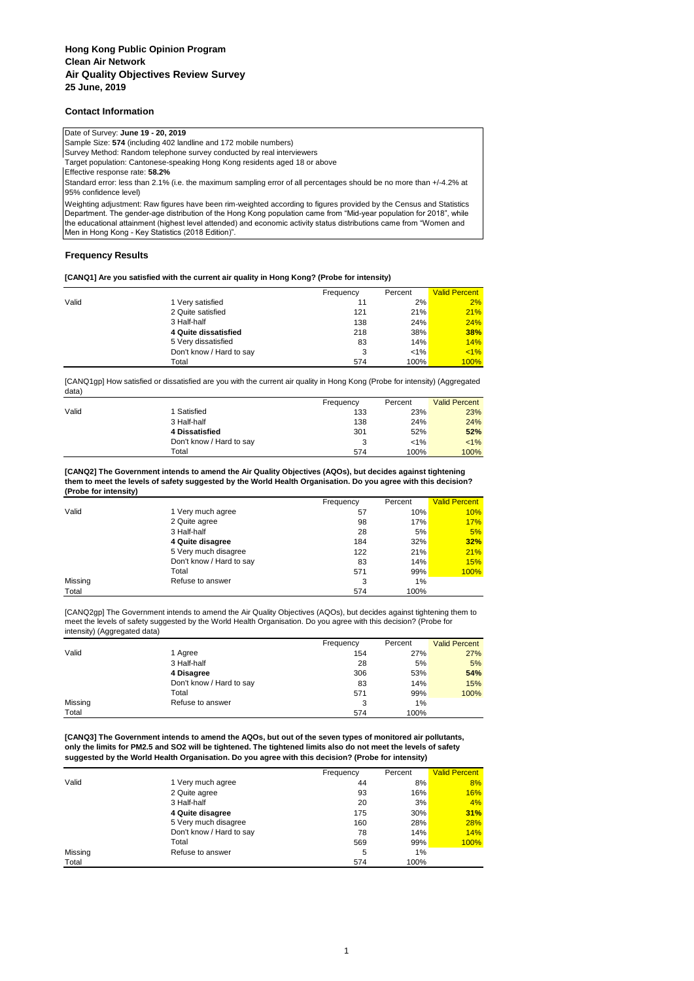## **Contact Information**

### Date of Survey: **June 19 - 20, 2019**

Sample Size: **574** (including 402 landline and 172 mobile numbers)

Survey Method: Random telephone survey conducted by real interviewers

Target population: Cantonese-speaking Hong Kong residents aged 18 or above

Effective response rate: **58.2%**

Standard error: less than 2.1% (i.e. the maximum sampling error of all percentages should be no more than +/-4.2% at 95% confidence level)

Weighting adjustment: Raw figures have been rim-weighted according to figures provided by the Census and Statistics Department. The gender-age distribution of the Hong Kong population came from "Mid-year population for 2018", while the educational attainment (highest level attended) and economic activity status distributions came from "Women and Men in Hong Kong - Key Statistics (2018 Edition)".

## **Frequency Results**

### **[CANQ1] Are you satisfied with the current air quality in Hong Kong? (Probe for intensity)**

|       |                          | Frequency | Percent | <b>Valid Percent</b> |
|-------|--------------------------|-----------|---------|----------------------|
| Valid | 1 Very satisfied         | 11        | 2%      | 2%                   |
|       | 2 Quite satisfied        | 121       | 21%     | 21%                  |
|       | 3 Half-half              | 138       | 24%     | 24%                  |
|       | 4 Quite dissatisfied     | 218       | 38%     | 38%                  |
|       | 5 Very dissatisfied      | 83        | 14%     | 14%                  |
|       | Don't know / Hard to say | 3         | $< 1\%$ | $< 1\%$              |
|       | Total                    | 574       | 100%    | 100%                 |

[CANQ1gp] How satisfied or dissatisfied are you with the current air quality in Hong Kong (Probe for intensity) (Aggregated data)

|       |                          | Frequency | Percent | <b>Valid Percent</b> |
|-------|--------------------------|-----------|---------|----------------------|
| Valid | 1 Satisfied              | 133       | 23%     | 23%                  |
|       | 3 Half-half              | 138       | 24%     | 24%                  |
|       | 4 Dissatisfied           | 301       | 52%     | 52%                  |
|       | Don't know / Hard to say | 3         | $< 1\%$ | $< 1\%$              |
|       | Total                    | 574       | 100%    | 100%                 |

#### **[CANQ2] The Government intends to amend the Air Quality Objectives (AQOs), but decides against tightening them to meet the levels of safety suggested by the World Health Organisation. Do you agree with this decision? (Probe for intensity)**

|         |                          | Frequency | Percent | <b>Valid Percent</b> |
|---------|--------------------------|-----------|---------|----------------------|
| Valid   | 1 Very much agree        | 57        | 10%     | 10%                  |
|         | 2 Quite agree            | 98        | 17%     | 17%                  |
|         | 3 Half-half              | 28        | 5%      | 5%                   |
|         | 4 Quite disagree         | 184       | 32%     | 32%                  |
|         | 5 Very much disagree     | 122       | 21%     | 21%                  |
|         | Don't know / Hard to say | 83        | 14%     | 15%                  |
|         | Total                    | 571       | 99%     | 100%                 |
| Missing | Refuse to answer         | 3         | $1\%$   |                      |
| Total   |                          | 574       | 100%    |                      |

[CANQ2gp] The Government intends to amend the Air Quality Objectives (AQOs), but decides against tightening them to meet the levels of safety suggested by the World Health Organisation. Do you agree with this decision? (Probe for intensity) (Aggregated data)

|         |                          | Frequency | Percent | <b>Valid Percent</b> |
|---------|--------------------------|-----------|---------|----------------------|
| Valid   | 1 Agree                  | 154       | 27%     | 27%                  |
|         | 3 Half-half              | 28        | 5%      | 5%                   |
|         | 4 Disagree               | 306       | 53%     | 54%                  |
|         | Don't know / Hard to say | 83        | 14%     | 15%                  |
|         | Total                    | 571       | 99%     | 100%                 |
| Missing | Refuse to answer         | 3         | 1%      |                      |
| Total   |                          | 574       | 100%    |                      |

**[CANQ3] The Government intends to amend the AQOs, but out of the seven types of monitored air pollutants, only the limits for PM2.5 and SO2 will be tightened. The tightened limits also do not meet the levels of safety suggested by the World Health Organisation. Do you agree with this decision? (Probe for intensity)**

|         |                          | Frequency | Percent | <b>Valid Percent</b> |
|---------|--------------------------|-----------|---------|----------------------|
| Valid   | 1 Very much agree        | 44        | 8%      | 8%                   |
|         | 2 Quite agree            | 93        | 16%     | 16%                  |
|         | 3 Half-half              | 20        | 3%      | 4%                   |
|         | 4 Quite disagree         | 175       | 30%     | 31%                  |
|         | 5 Very much disagree     | 160       | 28%     | <b>28%</b>           |
|         | Don't know / Hard to say | 78        | 14%     | 14%                  |
|         | Total                    | 569       | 99%     | 100%                 |
| Missing | Refuse to answer         | 5         | 1%      |                      |
| Total   |                          | 574       | 100%    |                      |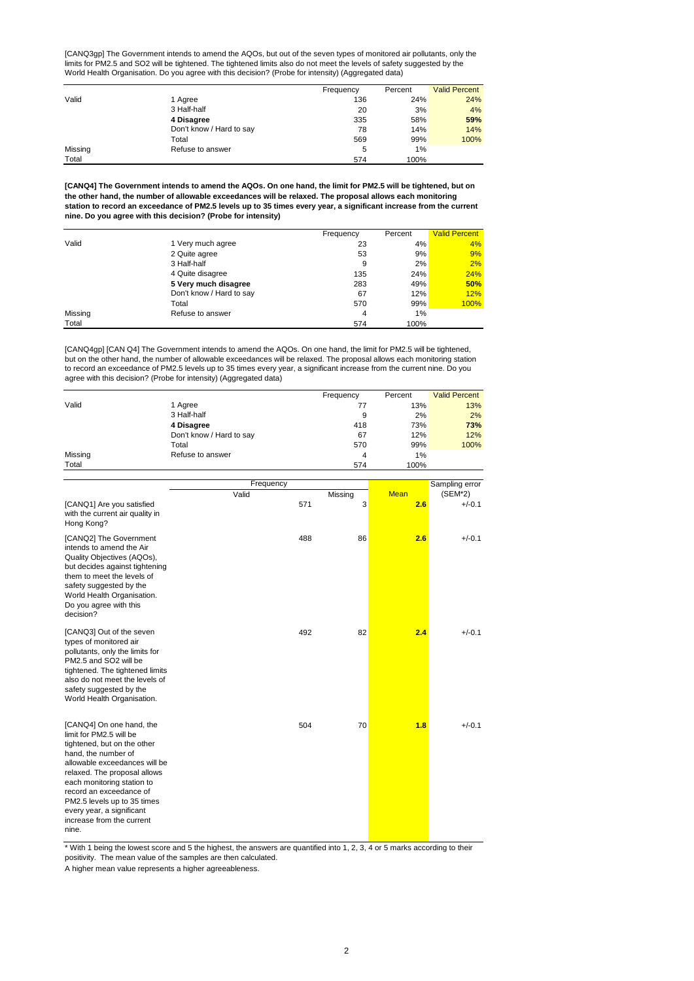[CANQ3gp] The Government intends to amend the AQOs, but out of the seven types of monitored air pollutants, only the limits for PM2.5 and SO2 will be tightened. The tightened limits also do not meet the levels of safety suggested by the World Health Organisation. Do you agree with this decision? (Probe for intensity) (Aggregated data)

|         |                          | Frequency | Percent | <b>Valid Percent</b> |
|---------|--------------------------|-----------|---------|----------------------|
| Valid   | 1 Agree                  | 136       | 24%     | 24%                  |
|         | 3 Half-half              | 20        | 3%      | 4%                   |
|         | 4 Disagree               | 335       | 58%     | 59%                  |
|         | Don't know / Hard to say | 78        | 14%     | 14%                  |
|         | Total                    | 569       | 99%     | 100%                 |
| Missing | Refuse to answer         | 5         | 1%      |                      |
| Total   |                          | 574       | 100%    |                      |

**[CANQ4] The Government intends to amend the AQOs. On one hand, the limit for PM2.5 will be tightened, but on the other hand, the number of allowable exceedances will be relaxed. The proposal allows each monitoring station to record an exceedance of PM2.5 levels up to 35 times every year, a significant increase from the current nine. Do you agree with this decision? (Probe for intensity)**

|         |                          | Frequency | Percent | <b>Valid Percent</b> |
|---------|--------------------------|-----------|---------|----------------------|
| Valid   | 1 Very much agree        | 23        | 4%      | 4%                   |
|         | 2 Quite agree            | 53        | 9%      | 9%                   |
|         | 3 Half-half              | 9         | 2%      | 2%                   |
|         | 4 Quite disagree         | 135       | 24%     | 24%                  |
|         | 5 Very much disagree     | 283       | 49%     | 50%                  |
|         | Don't know / Hard to say | 67        | 12%     | 12%                  |
|         | Total                    | 570       | 99%     | 100%                 |
| Missing | Refuse to answer         | 4         | 1%      |                      |
| Total   |                          | 574       | 100%    |                      |

[CANQ4gp] [CAN Q4] The Government intends to amend the AQOs. On one hand, the limit for PM2.5 will be tightened, but on the other hand, the number of allowable exceedances will be relaxed. The proposal allows each monitoring station to record an exceedance of PM2.5 levels up to 35 times every year, a significant increase from the current nine. Do you agree with this decision? (Probe for intensity) (Aggregated data)

|         |                          | Frequency | Percent | <b>Valid Percent</b> |
|---------|--------------------------|-----------|---------|----------------------|
| Valid   | 1 Agree                  | 77        | 13%     | 13%                  |
|         | 3 Half-half              | 9         | 2%      | 2%                   |
|         | 4 Disagree               | 418       | 73%     | 73%                  |
|         | Don't know / Hard to say | 67        | 12%     | 12%                  |
|         | Total                    | 570       | 99%     | 100%                 |
| Missing | Refuse to answer         | 4         | 1%      |                      |
| Total   |                          | 574       | 100%    |                      |

|                                                                                                                                                                                                                                                                                                                                       |           |     |         | 100/10      |                |
|---------------------------------------------------------------------------------------------------------------------------------------------------------------------------------------------------------------------------------------------------------------------------------------------------------------------------------------|-----------|-----|---------|-------------|----------------|
|                                                                                                                                                                                                                                                                                                                                       |           |     |         |             |                |
|                                                                                                                                                                                                                                                                                                                                       | Frequency |     |         |             | Sampling error |
|                                                                                                                                                                                                                                                                                                                                       | Valid     |     | Missing | <b>Mean</b> | $(SEM*2)$      |
| [CANQ1] Are you satisfied<br>with the current air quality in<br>Hong Kong?                                                                                                                                                                                                                                                            |           | 571 | 3       | 2.6         | $+/-0.1$       |
| [CANQ2] The Government<br>intends to amend the Air<br>Quality Objectives (AQOs),<br>but decides against tightening<br>them to meet the levels of<br>safety suggested by the<br>World Health Organisation.<br>Do you agree with this<br>decision?                                                                                      |           | 488 | 86      | 2.6         | $+/-0.1$       |
| [CANQ3] Out of the seven<br>types of monitored air<br>pollutants, only the limits for<br>PM2.5 and SO2 will be<br>tightened. The tightened limits<br>also do not meet the levels of<br>safety suggested by the<br>World Health Organisation.                                                                                          |           | 492 | 82      | 2.4         | $+/-0.1$       |
| [CANQ4] On one hand, the<br>limit for PM2.5 will be<br>tightened, but on the other<br>hand, the number of<br>allowable exceedances will be<br>relaxed. The proposal allows<br>each monitoring station to<br>record an exceedance of<br>PM2.5 levels up to 35 times<br>every year, a significant<br>increase from the current<br>nine. |           | 504 | 70      | 1.8         | $+/-0.1$       |

\* With 1 being the lowest score and 5 the highest, the answers are quantified into 1, 2, 3, 4 or 5 marks according to their

positivity. The mean value of the samples are then calculated.

A higher mean value represents a higher agreeableness.